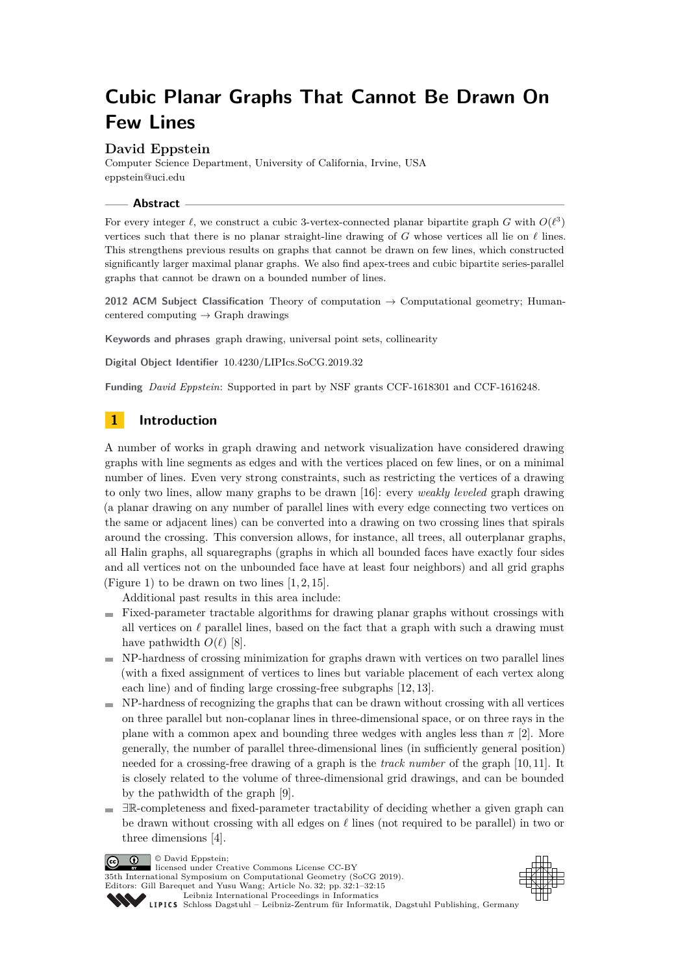# **Cubic Planar Graphs That Cannot Be Drawn On Few Lines**

# **David Eppstein**

Computer Science Department, University of California, Irvine, USA [eppstein@uci.edu](mailto:eppstein@uci.edu)

**Abstract**

For every integer  $\ell$ , we construct a cubic 3-vertex-connected planar bipartite graph *G* with  $O(\ell^3)$ vertices such that there is no planar straight-line drawing of  $G$  whose vertices all lie on  $\ell$  lines. This strengthens previous results on graphs that cannot be drawn on few lines, which constructed significantly larger maximal planar graphs. We also find apex-trees and cubic bipartite series-parallel graphs that cannot be drawn on a bounded number of lines.

**2012 ACM Subject Classification** Theory of computation → Computational geometry; Humancentered computing  $\rightarrow$  Graph drawings

**Keywords and phrases** graph drawing, universal point sets, collinearity

**Digital Object Identifier** [10.4230/LIPIcs.SoCG.2019.32](https://doi.org/10.4230/LIPIcs.SoCG.2019.32)

**Funding** *David Eppstein*: Supported in part by NSF grants CCF-1618301 and CCF-1616248.

# **1 Introduction**

A number of works in graph drawing and network visualization have considered drawing graphs with line segments as edges and with the vertices placed on few lines, or on a minimal number of lines. Even very strong constraints, such as restricting the vertices of a drawing to only two lines, allow many graphs to be drawn [\[16\]](#page-13-0): every *weakly leveled* graph drawing (a planar drawing on any number of parallel lines with every edge connecting two vertices on the same or adjacent lines) can be converted into a drawing on two crossing lines that spirals around the crossing. This conversion allows, for instance, all trees, all outerplanar graphs, all Halin graphs, all squaregraphs (graphs in which all bounded faces have exactly four sides and all vertices not on the unbounded face have at least four neighbors) and all grid graphs [\(Figure 1\)](#page-1-0) to be drawn on two lines  $[1, 2, 15]$  $[1, 2, 15]$  $[1, 2, 15]$ .

Additional past results in this area include:

- Fixed-parameter tractable algorithms for drawing planar graphs without crossings with all vertices on  $\ell$  parallel lines, based on the fact that a graph with such a drawing must have pathwidth  $O(\ell)$  [\[8\]](#page-13-4).
- NP-hardness of crossing minimization for graphs drawn with vertices on two parallel lines (with a fixed assignment of vertices to lines but variable placement of each vertex along each line) and of finding large crossing-free subgraphs [\[12,](#page-13-5) [13\]](#page-13-6).
- $\blacksquare$  NP-hardness of recognizing the graphs that can be drawn without crossing with all vertices on three parallel but non-coplanar lines in three-dimensional space, or on three rays in the plane with a common apex and bounding three wedges with angles less than  $\pi$  [\[2\]](#page-13-2). More generally, the number of parallel three-dimensional lines (in sufficiently general position) needed for a crossing-free drawing of a graph is the *track number* of the graph [\[10,](#page-13-7) [11\]](#page-13-8). It is closely related to the volume of three-dimensional grid drawings, and can be bounded by the pathwidth of the graph [\[9\]](#page-13-9).
- ∃R-completeness and fixed-parameter tractability of deciding whether a given graph can be drawn without crossing with all edges on  $\ell$  lines (not required to be parallel) in two or three dimensions [\[4\]](#page-13-10).

© David Eppstein;  $\boxed{6}$  0 licensed under Creative Commons License CC-BY 35th International Symposium on Computational Geometry (SoCG 2019). Editors: Gill Barequet and Yusu Wang; Article No. 32; pp. 32:1–32[:15](#page-14-0)



[Leibniz International Proceedings in Informatics](https://www.dagstuhl.de/lipics/) SCHLOSS Dagstuhl – Leibniz-Zentrum für Informatik, Dagstuhl Publishing, Germany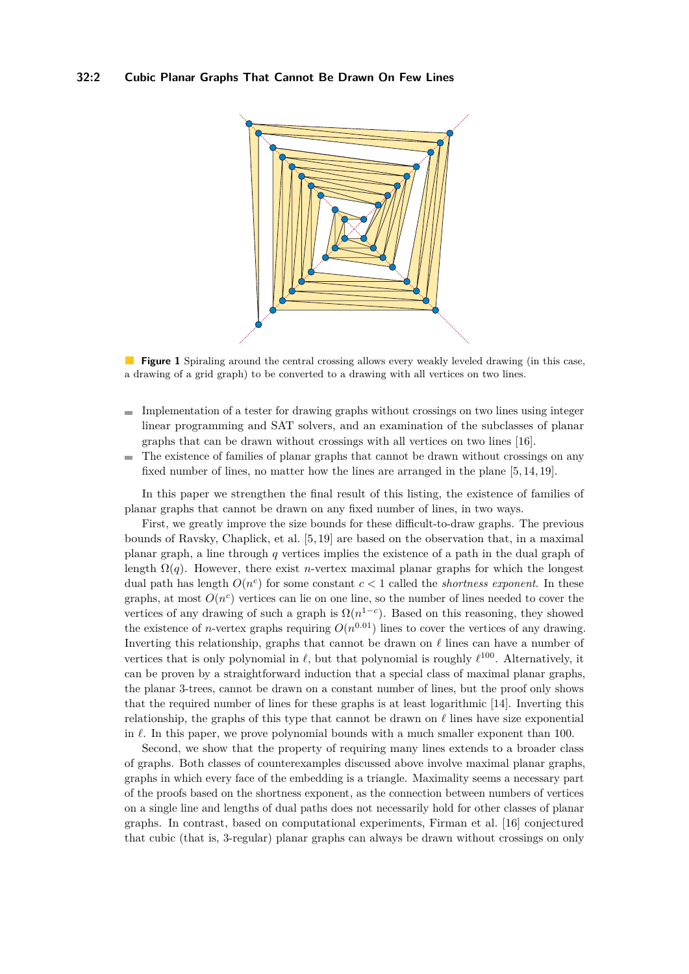## <span id="page-1-0"></span>**32:2 Cubic Planar Graphs That Cannot Be Drawn On Few Lines**



**Figure 1** Spiraling around the central crossing allows every weakly leveled drawing (in this case, a drawing of a grid graph) to be converted to a drawing with all vertices on two lines.

- Implementation of a tester for drawing graphs without crossings on two lines using integer  $\blacksquare$ linear programming and SAT solvers, and an examination of the subclasses of planar graphs that can be drawn without crossings with all vertices on two lines [\[16\]](#page-13-0).
- The existence of families of planar graphs that cannot be drawn without crossings on any  $\sim$ fixed number of lines, no matter how the lines are arranged in the plane [\[5,](#page-13-11) [14,](#page-13-12) [19\]](#page-14-1).

In this paper we strengthen the final result of this listing, the existence of families of planar graphs that cannot be drawn on any fixed number of lines, in two ways.

First, we greatly improve the size bounds for these difficult-to-draw graphs. The previous bounds of Ravsky, Chaplick, et al. [\[5,](#page-13-11) [19\]](#page-14-1) are based on the observation that, in a maximal planar graph, a line through *q* vertices implies the existence of a path in the dual graph of length  $\Omega(q)$ . However, there exist *n*-vertex maximal planar graphs for which the longest dual path has length  $O(n^c)$  for some constant  $c < 1$  called the *shortness exponent*. In these graphs, at most  $O(n^c)$  vertices can lie on one line, so the number of lines needed to cover the vertices of any drawing of such a graph is  $\Omega(n^{1-c})$ . Based on this reasoning, they showed the existence of *n*-vertex graphs requiring  $O(n^{0.01})$  lines to cover the vertices of any drawing. Inverting this relationship, graphs that cannot be drawn on  $\ell$  lines can have a number of vertices that is only polynomial in  $\ell$ , but that polynomial is roughly  $\ell^{100}$ . Alternatively, it can be proven by a straightforward induction that a special class of maximal planar graphs, the planar 3-trees, cannot be drawn on a constant number of lines, but the proof only shows that the required number of lines for these graphs is at least logarithmic [\[14\]](#page-13-12). Inverting this relationship, the graphs of this type that cannot be drawn on  $\ell$  lines have size exponential in  $\ell$ . In this paper, we prove polynomial bounds with a much smaller exponent than 100.

Second, we show that the property of requiring many lines extends to a broader class of graphs. Both classes of counterexamples discussed above involve maximal planar graphs, graphs in which every face of the embedding is a triangle. Maximality seems a necessary part of the proofs based on the shortness exponent, as the connection between numbers of vertices on a single line and lengths of dual paths does not necessarily hold for other classes of planar graphs. In contrast, based on computational experiments, Firman et al. [\[16\]](#page-13-0) conjectured that cubic (that is, 3-regular) planar graphs can always be drawn without crossings on only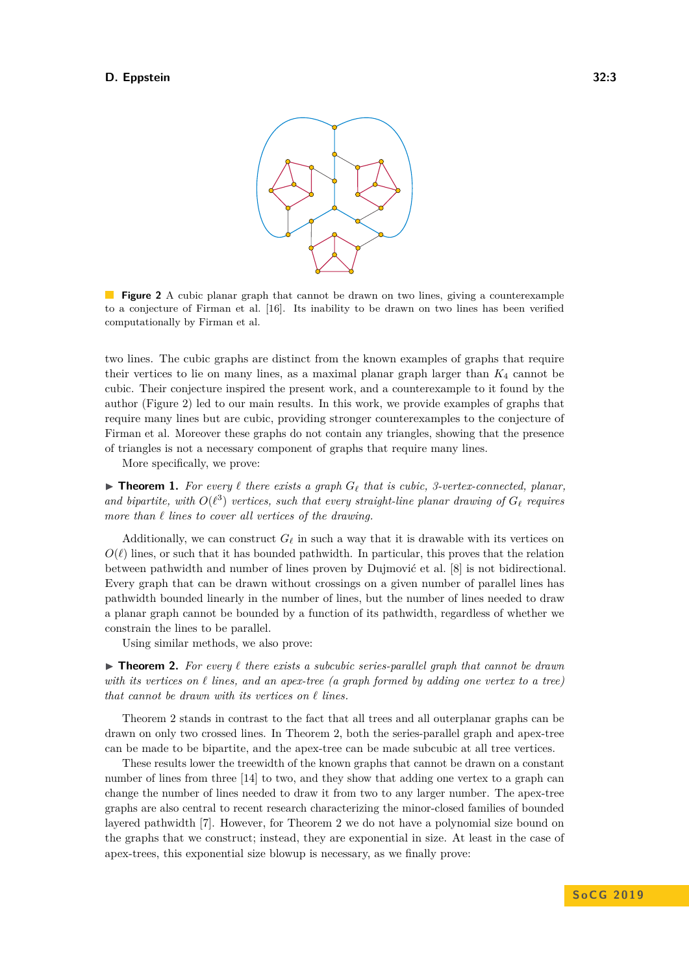<span id="page-2-0"></span>

**Figure 2** A cubic planar graph that cannot be drawn on two lines, giving a counterexample to a conjecture of Firman et al. [\[16\]](#page-13-0). Its inability to be drawn on two lines has been verified computationally by Firman et al.

two lines. The cubic graphs are distinct from the known examples of graphs that require their vertices to lie on many lines, as a maximal planar graph larger than  $K_4$  cannot be cubic. Their conjecture inspired the present work, and a counterexample to it found by the author [\(Figure 2\)](#page-2-0) led to our main results. In this work, we provide examples of graphs that require many lines but are cubic, providing stronger counterexamples to the conjecture of Firman et al. Moreover these graphs do not contain any triangles, showing that the presence of triangles is not a necessary component of graphs that require many lines.

More specifically, we prove:

<span id="page-2-2"></span> $\triangleright$  **Theorem 1.** For every  $\ell$  there exists a graph  $G_{\ell}$  that is cubic, 3-vertex-connected, planar, and bipartite, with  $O(\ell^3)$  vertices, such that every straight-line planar drawing of  $G_\ell$  requires *more than*  $\ell$  *lines to cover all vertices of the drawing.* 

Additionally, we can construct  $G_\ell$  in such a way that it is drawable with its vertices on  $O(\ell)$  lines, or such that it has bounded pathwidth. In particular, this proves that the relation between pathwidth and number of lines proven by Dujmović et al. [\[8\]](#page-13-4) is not bidirectional. Every graph that can be drawn without crossings on a given number of parallel lines has pathwidth bounded linearly in the number of lines, but the number of lines needed to draw a planar graph cannot be bounded by a function of its pathwidth, regardless of whether we constrain the lines to be parallel.

Using similar methods, we also prove:

<span id="page-2-1"></span>▶ **Theorem 2.** For every *l* there exists a subcubic series-parallel graph that cannot be drawn *with its vertices on*  $\ell$  *lines, and an apex-tree (a graph formed by adding one vertex to a tree) that cannot be drawn with its vertices on*  $\ell$  *lines.* 

[Theorem 2](#page-2-1) stands in contrast to the fact that all trees and all outerplanar graphs can be drawn on only two crossed lines. In [Theorem 2,](#page-2-1) both the series-parallel graph and apex-tree can be made to be bipartite, and the apex-tree can be made subcubic at all tree vertices.

These results lower the treewidth of the known graphs that cannot be drawn on a constant number of lines from three [\[14\]](#page-13-12) to two, and they show that adding one vertex to a graph can change the number of lines needed to draw it from two to any larger number. The apex-tree graphs are also central to recent research characterizing the minor-closed families of bounded layered pathwidth [\[7\]](#page-13-13). However, for [Theorem 2](#page-2-1) we do not have a polynomial size bound on the graphs that we construct; instead, they are exponential in size. At least in the case of apex-trees, this exponential size blowup is necessary, as we finally prove: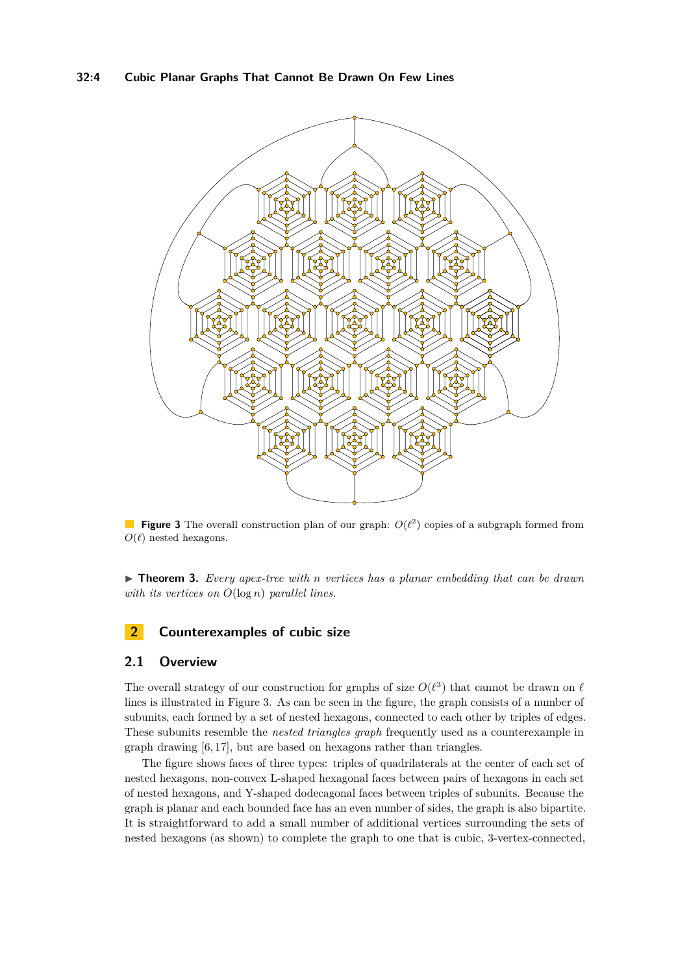**32:4 Cubic Planar Graphs That Cannot Be Drawn On Few Lines**

<span id="page-3-0"></span>

**Figure 3** The overall construction plan of our graph:  $O(\ell^2)$  copies of a subgraph formed from  $O(\ell)$  nested hexagons.

<span id="page-3-1"></span>▶ **Theorem 3.** *Every apex-tree with n vertices* has a planar embedding that can be drawn *with its vertices on O*(log *n*) *parallel lines.*

## **2 Counterexamples of cubic size**

## **2.1 Overview**

The overall strategy of our construction for graphs of size  $O(\ell^3)$  that cannot be drawn on  $\ell$ lines is illustrated in [Figure 3.](#page-3-0) As can be seen in the figure, the graph consists of a number of subunits, each formed by a set of nested hexagons, connected to each other by triples of edges. These subunits resemble the *nested triangles graph* frequently used as a counterexample in graph drawing [\[6,](#page-13-14) [17\]](#page-14-2), but are based on hexagons rather than triangles.

The figure shows faces of three types: triples of quadrilaterals at the center of each set of nested hexagons, non-convex L-shaped hexagonal faces between pairs of hexagons in each set of nested hexagons, and Y-shaped dodecagonal faces between triples of subunits. Because the graph is planar and each bounded face has an even number of sides, the graph is also bipartite. It is straightforward to add a small number of additional vertices surrounding the sets of nested hexagons (as shown) to complete the graph to one that is cubic, 3-vertex-connected,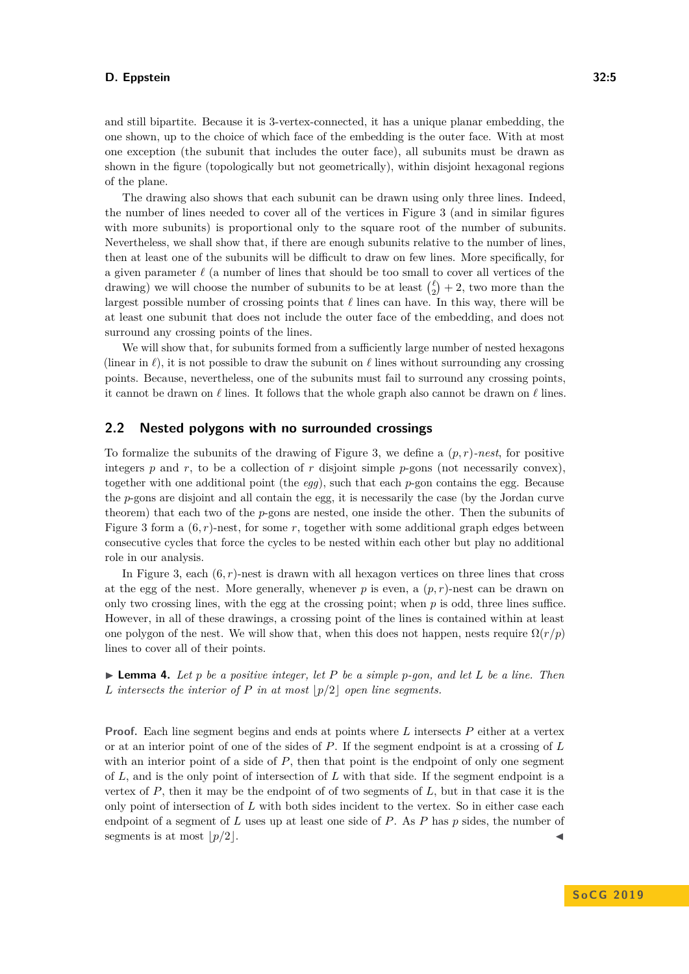#### **D. Eppstein 32:5**

and still bipartite. Because it is 3-vertex-connected, it has a unique planar embedding, the one shown, up to the choice of which face of the embedding is the outer face. With at most one exception (the subunit that includes the outer face), all subunits must be drawn as shown in the figure (topologically but not geometrically), within disjoint hexagonal regions of the plane.

The drawing also shows that each subunit can be drawn using only three lines. Indeed, the number of lines needed to cover all of the vertices in [Figure 3](#page-3-0) (and in similar figures with more subunits) is proportional only to the square root of the number of subunits. Nevertheless, we shall show that, if there are enough subunits relative to the number of lines, then at least one of the subunits will be difficult to draw on few lines. More specifically, for a given parameter  $\ell$  (a number of lines that should be too small to cover all vertices of the drawing) we will choose the number of subunits to be at least  $\binom{\ell}{2} + 2$ , two more than the largest possible number of crossing points that  $\ell$  lines can have. In this way, there will be at least one subunit that does not include the outer face of the embedding, and does not surround any crossing points of the lines.

We will show that, for subunits formed from a sufficiently large number of nested hexagons (linear in  $\ell$ ), it is not possible to draw the subunit on  $\ell$  lines without surrounding any crossing points. Because, nevertheless, one of the subunits must fail to surround any crossing points, it cannot be drawn on  $\ell$  lines. It follows that the whole graph also cannot be drawn on  $\ell$  lines.

## **2.2 Nested polygons with no surrounded crossings**

To formalize the subunits of the drawing of [Figure 3,](#page-3-0) we define a (*p, r*)*-nest*, for positive integers  $p$  and  $r$ , to be a collection of  $r$  disjoint simple  $p$ -gons (not necessarily convex), together with one additional point (the *egg*), such that each *p*-gon contains the egg. Because the *p*-gons are disjoint and all contain the egg, it is necessarily the case (by the Jordan curve theorem) that each two of the *p*-gons are nested, one inside the other. Then the subunits of [Figure 3](#page-3-0) form a  $(6, r)$ -nest, for some r, together with some additional graph edges between consecutive cycles that force the cycles to be nested within each other but play no additional role in our analysis.

In [Figure 3,](#page-3-0) each (6*, r*)-nest is drawn with all hexagon vertices on three lines that cross at the egg of the nest. More generally, whenever  $p$  is even, a  $(p, r)$ -nest can be drawn on only two crossing lines, with the egg at the crossing point; when *p* is odd, three lines suffice. However, in all of these drawings, a crossing point of the lines is contained within at least one polygon of the nest. We will show that, when this does not happen, nests require  $\Omega(r/p)$ lines to cover all of their points.

 $\blacktriangleright$  **Lemma 4.** Let p be a positive integer, let P be a simple p-gon, and let L be a line. Then *L intersects the interior of P in at most*  $|p/2|$  *open line segments.* 

**Proof.** Each line segment begins and ends at points where *L* intersects *P* either at a vertex or at an interior point of one of the sides of *P*. If the segment endpoint is at a crossing of *L* with an interior point of a side of P, then that point is the endpoint of only one segment of *L*, and is the only point of intersection of *L* with that side. If the segment endpoint is a vertex of *P*, then it may be the endpoint of of two segments of *L*, but in that case it is the only point of intersection of *L* with both sides incident to the vertex. So in either case each endpoint of a segment of *L* uses up at least one side of *P*. As *P* has *p* sides, the number of segments is at most  $\lfloor p/2 \rfloor$ .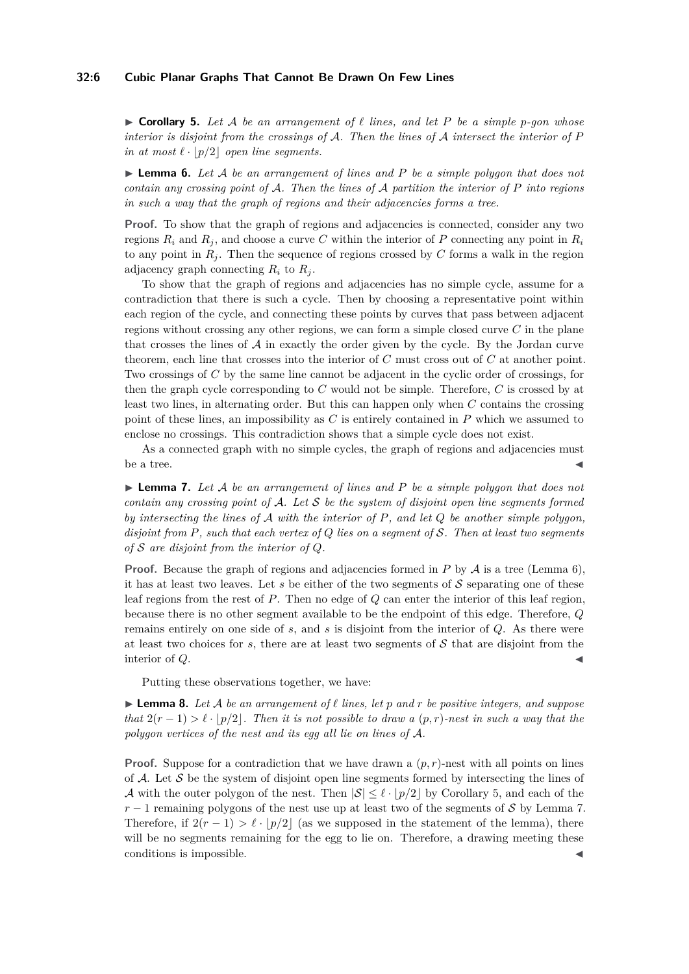#### **32:6 Cubic Planar Graphs That Cannot Be Drawn On Few Lines**

<span id="page-5-1"></span> $\triangleright$  **Corollary 5.** Let A be an arrangement of  $\ell$  lines, and let P be a simple p-gon whose *interior is disjoint from the crossings of* A*. Then the lines of* A *intersect the interior of P in at most*  $\ell \cdot |p/2|$  *open line segments.* 

<span id="page-5-0"></span> $\triangleright$  **Lemma 6.** Let A be an arrangement of lines and P be a simple polygon that does not *contain any crossing point of* A*. Then the lines of* A *partition the interior of P into regions in such a way that the graph of regions and their adjacencies forms a tree.*

**Proof.** To show that the graph of regions and adjacencies is connected, consider any two regions  $R_i$  and  $R_j$ , and choose a curve C within the interior of P connecting any point in  $R_i$ to any point in  $R_i$ . Then the sequence of regions crossed by  $C$  forms a walk in the region adjacency graph connecting  $R_i$  to  $R_j$ .

To show that the graph of regions and adjacencies has no simple cycle, assume for a contradiction that there is such a cycle. Then by choosing a representative point within each region of the cycle, and connecting these points by curves that pass between adjacent regions without crossing any other regions, we can form a simple closed curve *C* in the plane that crosses the lines of  $A$  in exactly the order given by the cycle. By the Jordan curve theorem, each line that crosses into the interior of *C* must cross out of *C* at another point. Two crossings of *C* by the same line cannot be adjacent in the cyclic order of crossings, for then the graph cycle corresponding to *C* would not be simple. Therefore, *C* is crossed by at least two lines, in alternating order. But this can happen only when *C* contains the crossing point of these lines, an impossibility as *C* is entirely contained in *P* which we assumed to enclose no crossings. This contradiction shows that a simple cycle does not exist.

As a connected graph with no simple cycles, the graph of regions and adjacencies must be a tree.  $\blacksquare$ 

<span id="page-5-2"></span> $\blacktriangleright$  **Lemma 7.** Let A be an arrangement of lines and P be a simple polygon that does not *contain any crossing point of* A*. Let* S *be the system of disjoint open line segments formed by intersecting the lines of* A *with the interior of P, and let Q be another simple polygon, disjoint from P, such that each vertex of Q lies on a segment of* S*. Then at least two segments of* S *are disjoint from the interior of Q.*

**Proof.** Because the graph of regions and adjacencies formed in  $P$  by  $\mathcal A$  is a tree [\(Lemma 6\)](#page-5-0), it has at least two leaves. Let  $s$  be either of the two segments of  $\mathcal S$  separating one of these leaf regions from the rest of *P*. Then no edge of *Q* can enter the interior of this leaf region, because there is no other segment available to be the endpoint of this edge. Therefore, *Q* remains entirely on one side of *s*, and *s* is disjoint from the interior of *Q*. As there were at least two choices for  $s$ , there are at least two segments of  $S$  that are disjoint from the interior of *Q*.

Putting these observations together, we have:

<span id="page-5-3"></span> $\blacktriangleright$  **Lemma 8.** Let A be an arrangement of  $\ell$  lines, let p and r be positive integers, and suppose *that*  $2(r-1) > l \cdot |p/2|$ . Then it is not possible to draw a  $(p, r)$ -nest in such a way that the *polygon vertices of the nest and its egg all lie on lines of* A*.*

**Proof.** Suppose for a contradiction that we have drawn a  $(p, r)$ -nest with all points on lines of A. Let S be the system of disjoint open line segments formed by intersecting the lines of A with the outer polygon of the nest. Then  $|S| \leq \ell \cdot |p/2|$  by [Corollary 5,](#page-5-1) and each of the  $r-1$  remaining polygons of the nest use up at least two of the segments of S by [Lemma 7.](#page-5-2) Therefore, if  $2(r-1) > \ell \cdot |p/2|$  (as we supposed in the statement of the lemma), there will be no segments remaining for the egg to lie on. Therefore, a drawing meeting these conditions is impossible.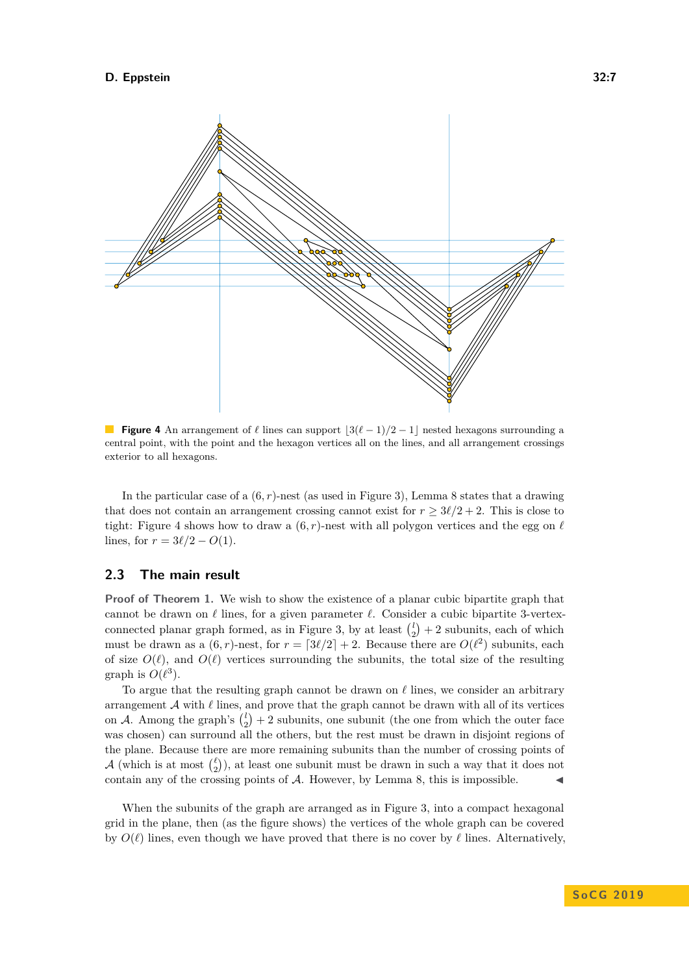<span id="page-6-0"></span>

**Figure 4** An arrangement of  $\ell$  lines can support  $\left| 3(\ell-1)/2 - 1 \right|$  nested hexagons surrounding a central point, with the point and the hexagon vertices all on the lines, and all arrangement crossings exterior to all hexagons.

In the particular case of a (6*, r*)-nest (as used in [Figure 3\)](#page-3-0), [Lemma 8](#page-5-3) states that a drawing that does not contain an arrangement crossing cannot exist for  $r \geq 3\ell/2 + 2$ . This is close to tight: [Figure 4](#page-6-0) shows how to draw a  $(6, r)$ -nest with all polygon vertices and the egg on  $\ell$ lines, for  $r = 3\ell/2 - O(1)$ .

## **2.3 The main result**

**Proof of [Theorem 1.](#page-2-2)** We wish to show the existence of a planar cubic bipartite graph that cannot be drawn on  $\ell$  lines, for a given parameter  $\ell$ . Consider a cubic bipartite 3-vertex-connected planar graph formed, as in [Figure 3,](#page-3-0) by at least  $\binom{l}{2} + 2$  subunits, each of which must be drawn as a  $(6, r)$ -nest, for  $r = \lfloor 3\ell/2 \rfloor + 2$ . Because there are  $O(\ell^2)$  subunits, each of size  $O(\ell)$ , and  $O(\ell)$  vertices surrounding the subunits, the total size of the resulting graph is  $O(\ell^3)$ .

To argue that the resulting graph cannot be drawn on  $\ell$  lines, we consider an arbitrary arrangement  $\mathcal A$  with  $\ell$  lines, and prove that the graph cannot be drawn with all of its vertices on A. Among the graph's  $\binom{l}{2}+2$  subunits, one subunit (the one from which the outer face was chosen) can surround all the others, but the rest must be drawn in disjoint regions of the plane. Because there are more remaining subunits than the number of crossing points of  $\mathcal A$  (which is at most  $\binom{\ell}{2}$ ), at least one subunit must be drawn in such a way that it does not contain any of the crossing points of  $A$ . However, by [Lemma 8,](#page-5-3) this is impossible.

When the subunits of the graph are arranged as in [Figure 3,](#page-3-0) into a compact hexagonal grid in the plane, then (as the figure shows) the vertices of the whole graph can be covered by  $O(\ell)$  lines, even though we have proved that there is no cover by  $\ell$  lines. Alternatively,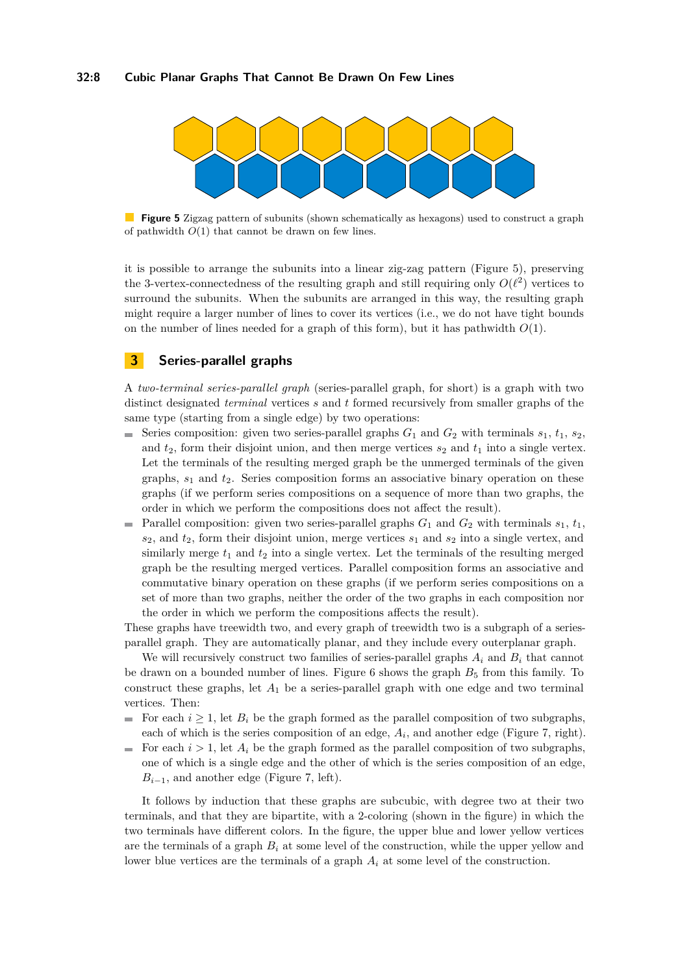#### **32:8 Cubic Planar Graphs That Cannot Be Drawn On Few Lines**

<span id="page-7-0"></span>

**Figure 5** Zigzag pattern of subunits (shown schematically as hexagons) used to construct a graph of pathwidth  $O(1)$  that cannot be drawn on few lines.

it is possible to arrange the subunits into a linear zig-zag pattern [\(Figure 5\)](#page-7-0), preserving the 3-vertex-connectedness of the resulting graph and still requiring only  $O(\ell^2)$  vertices to surround the subunits. When the subunits are arranged in this way, the resulting graph might require a larger number of lines to cover its vertices (i.e., we do not have tight bounds on the number of lines needed for a graph of this form), but it has pathwidth *O*(1).

## **3 Series-parallel graphs**

A *two-terminal series-parallel graph* (series-parallel graph, for short) is a graph with two distinct designated *terminal* vertices *s* and *t* formed recursively from smaller graphs of the same type (starting from a single edge) by two operations:

- Series composition: given two series-parallel graphs  $G_1$  and  $G_2$  with terminals  $s_1, t_1, s_2$ and  $t_2$ , form their disjoint union, and then merge vertices  $s_2$  and  $t_1$  into a single vertex. Let the terminals of the resulting merged graph be the unmerged terminals of the given graphs, *s*<sup>1</sup> and *t*2. Series composition forms an associative binary operation on these graphs (if we perform series compositions on a sequence of more than two graphs, the order in which we perform the compositions does not affect the result).
- Parallel composition: given two series-parallel graphs  $G_1$  and  $G_2$  with terminals  $s_1$ ,  $t_1$ , *s*2, and *t*2, form their disjoint union, merge vertices *s*<sup>1</sup> and *s*<sup>2</sup> into a single vertex, and similarly merge  $t_1$  and  $t_2$  into a single vertex. Let the terminals of the resulting merged graph be the resulting merged vertices. Parallel composition forms an associative and commutative binary operation on these graphs (if we perform series compositions on a set of more than two graphs, neither the order of the two graphs in each composition nor the order in which we perform the compositions affects the result).

These graphs have treewidth two, and every graph of treewidth two is a subgraph of a seriesparallel graph. They are automatically planar, and they include every outerplanar graph.

We will recursively construct two families of series-parallel graphs  $A_i$  and  $B_i$  that cannot be drawn on a bounded number of lines. [Figure 6](#page-8-0) shows the graph  $B_5$  from this family. To construct these graphs, let *A*<sup>1</sup> be a series-parallel graph with one edge and two terminal vertices. Then:

- For each  $i \geq 1$ , let  $B_i$  be the graph formed as the parallel composition of two subgraphs, each of which is the series composition of an edge,  $A_i$ , and another edge [\(Figure 7,](#page-8-1) right).
- For each  $i > 1$ , let  $A_i$  be the graph formed as the parallel composition of two subgraphs, one of which is a single edge and the other of which is the series composition of an edge,  $B_{i-1}$ , and another edge [\(Figure 7,](#page-8-1) left).

It follows by induction that these graphs are subcubic, with degree two at their two terminals, and that they are bipartite, with a 2-coloring (shown in the figure) in which the two terminals have different colors. In the figure, the upper blue and lower yellow vertices are the terminals of a graph  $B_i$  at some level of the construction, while the upper yellow and lower blue vertices are the terminals of a graph *A<sup>i</sup>* at some level of the construction.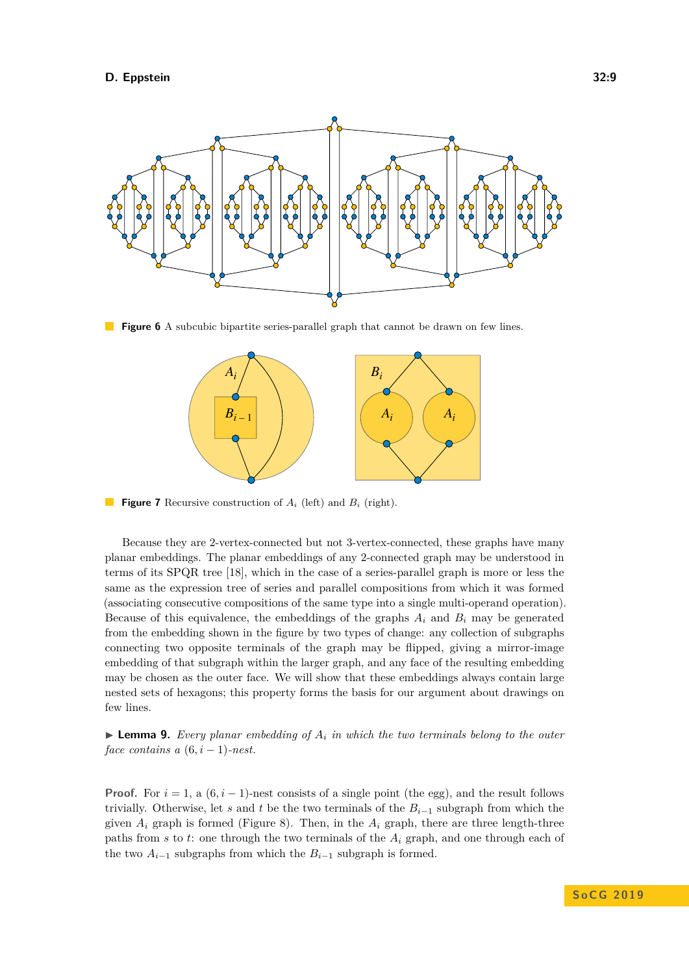<span id="page-8-0"></span>

<span id="page-8-1"></span>**Figure 6** A subcubic bipartite series-parallel graph that cannot be drawn on few lines.



**Figure 7** Recursive construction of *A<sup>i</sup>* (left) and *B<sup>i</sup>* (right).

Because they are 2-vertex-connected but not 3-vertex-connected, these graphs have many planar embeddings. The planar embeddings of any 2-connected graph may be understood in terms of its SPQR tree [\[18\]](#page-14-3), which in the case of a series-parallel graph is more or less the same as the expression tree of series and parallel compositions from which it was formed (associating consecutive compositions of the same type into a single multi-operand operation). Because of this equivalence, the embeddings of the graphs  $A_i$  and  $B_i$  may be generated from the embedding shown in the figure by two types of change: any collection of subgraphs connecting two opposite terminals of the graph may be flipped, giving a mirror-image embedding of that subgraph within the larger graph, and any face of the resulting embedding may be chosen as the outer face. We will show that these embeddings always contain large nested sets of hexagons; this property forms the basis for our argument about drawings on few lines.

<span id="page-8-2"></span> $\triangleright$  **Lemma 9.** Every planar embedding of  $A_i$  in which the two terminals belong to the outer *face contains a*  $(6, i - 1)$ *-nest.* 

**Proof.** For  $i = 1$ , a  $(6, i - 1)$ -nest consists of a single point (the egg), and the result follows trivially. Otherwise, let *s* and *t* be the two terminals of the  $B_{i-1}$  subgraph from which the given  $A_i$  graph is formed [\(Figure 8\)](#page-9-0). Then, in the  $A_i$  graph, there are three length-three paths from *s* to *t*: one through the two terminals of the *A<sup>i</sup>* graph, and one through each of the two  $A_{i-1}$  subgraphs from which the  $B_{i-1}$  subgraph is formed.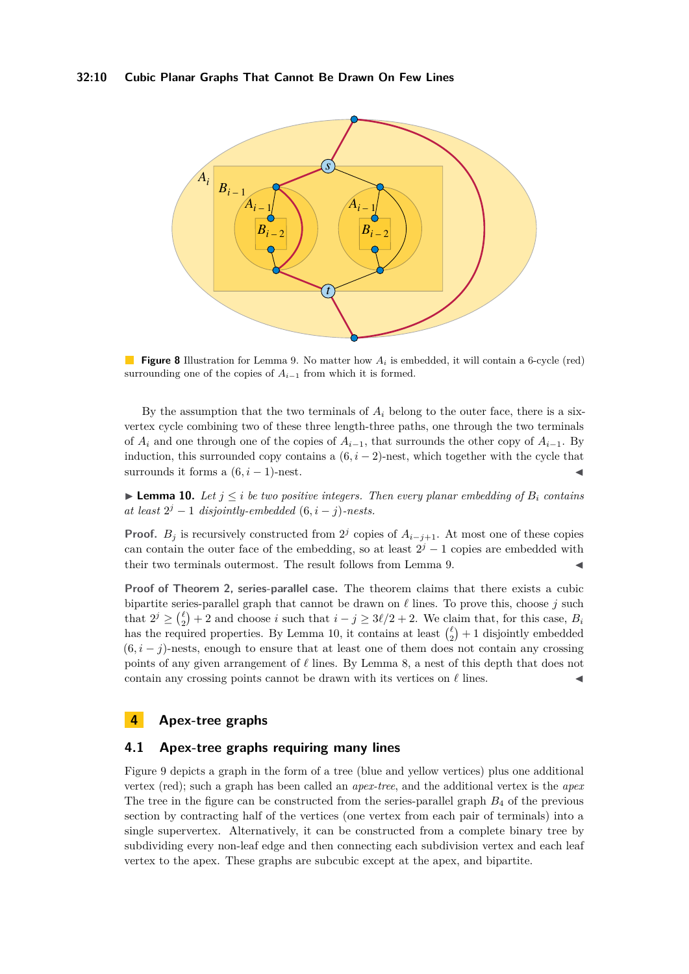#### **32:10 Cubic Planar Graphs That Cannot Be Drawn On Few Lines**

<span id="page-9-0"></span>

**Figure 8** Illustration for [Lemma 9.](#page-8-2) No matter how *A<sup>i</sup>* is embedded, it will contain a 6-cycle (red) surrounding one of the copies of  $A_{i-1}$  from which it is formed.

By the assumption that the two terminals of  $A_i$  belong to the outer face, there is a sixvertex cycle combining two of these three length-three paths, one through the two terminals of  $A_i$  and one through one of the copies of  $A_{i-1}$ , that surrounds the other copy of  $A_{i-1}$ . By induction, this surrounded copy contains a  $(6, i - 2)$ -nest, which together with the cycle that surrounds it forms a  $(6, i - 1)$ -nest.

<span id="page-9-1"></span>► **Lemma 10.** Let  $j \leq i$  be two positive integers. Then every planar embedding of  $B_i$  contains at least  $2^{j} - 1$  disjointly-embedded  $(6, i - j)$ -nests.

**Proof.**  $B_j$  is recursively constructed from  $2^j$  copies of  $A_{i-j+1}$ . At most one of these copies can contain the outer face of the embedding, so at least  $2<sup>j</sup> - 1$  copies are embedded with their two terminals outermost. The result follows from [Lemma 9.](#page-8-2)

**Proof of [Theorem 2,](#page-2-1) series-parallel case.** The theorem claims that there exists a cubic bipartite series-parallel graph that cannot be drawn on  $\ell$  lines. To prove this, choose *j* such that  $2^{j} \geq {l \choose 2} + 2$  and choose *i* such that  $i - j \geq 3l/2 + 2$ . We claim that, for this case, *B<sub>i</sub>* has the required properties. By [Lemma 10,](#page-9-1) it contains at least  $\binom{\ell}{2} + 1$  disjointly embedded  $(6, i - j)$ -nests, enough to ensure that at least one of them does not contain any crossing points of any given arrangement of  $\ell$  lines. By [Lemma 8,](#page-5-3) a nest of this depth that does not contain any crossing points cannot be drawn with its vertices on  $\ell$  lines.

## **4 Apex-tree graphs**

## **4.1 Apex-tree graphs requiring many lines**

[Figure 9](#page-10-0) depicts a graph in the form of a tree (blue and yellow vertices) plus one additional vertex (red); such a graph has been called an *apex-tree*, and the additional vertex is the *apex* The tree in the figure can be constructed from the series-parallel graph *B*<sup>4</sup> of the previous section by contracting half of the vertices (one vertex from each pair of terminals) into a single supervertex. Alternatively, it can be constructed from a complete binary tree by subdividing every non-leaf edge and then connecting each subdivision vertex and each leaf vertex to the apex. These graphs are subcubic except at the apex, and bipartite.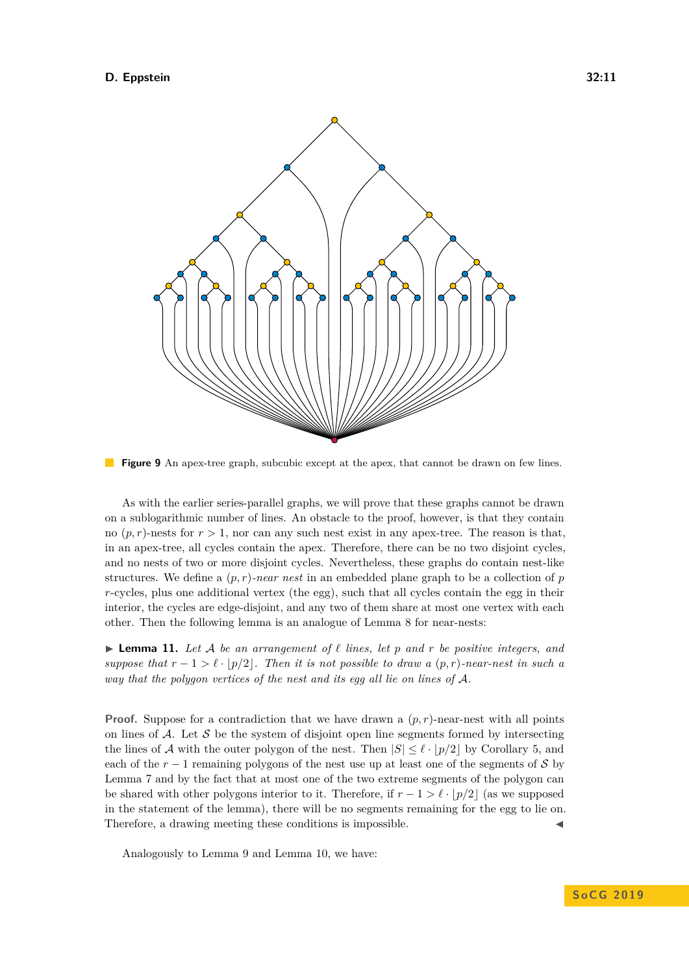<span id="page-10-0"></span>

**Figure 9** An apex-tree graph, subcubic except at the apex, that cannot be drawn on few lines.

As with the earlier series-parallel graphs, we will prove that these graphs cannot be drawn on a sublogarithmic number of lines. An obstacle to the proof, however, is that they contain no  $(p, r)$ -nests for  $r > 1$ , nor can any such nest exist in any apex-tree. The reason is that, in an apex-tree, all cycles contain the apex. Therefore, there can be no two disjoint cycles, and no nests of two or more disjoint cycles. Nevertheless, these graphs do contain nest-like structures. We define a (*p, r*)*-near nest* in an embedded plane graph to be a collection of *p r*-cycles, plus one additional vertex (the egg), such that all cycles contain the egg in their interior, the cycles are edge-disjoint, and any two of them share at most one vertex with each other. Then the following lemma is an analogue of [Lemma 8](#page-5-3) for near-nests:

<span id="page-10-1"></span> $\blacktriangleright$  **Lemma 11.** Let A be an arrangement of  $\ell$  lines, let p and r be positive integers, and *suppose that*  $r - 1 > \ell \cdot |p/2|$ *. Then it is not possible to draw a*  $(p, r)$ *-near-nest in such a way that the polygon vertices of the nest and its egg all lie on lines of* A*.*

**Proof.** Suppose for a contradiction that we have drawn a  $(p, r)$ -near-nest with all points on lines of  $A$ . Let  $S$  be the system of disjoint open line segments formed by intersecting the lines of A with the outer polygon of the nest. Then  $|S| \leq \ell \cdot |p/2|$  by [Corollary 5,](#page-5-1) and each of the  $r-1$  remaining polygons of the nest use up at least one of the segments of S by [Lemma 7](#page-5-2) and by the fact that at most one of the two extreme segments of the polygon can be shared with other polygons interior to it. Therefore, if  $r - 1 > \ell \cdot |p/2|$  (as we supposed in the statement of the lemma), there will be no segments remaining for the egg to lie on. Therefore, a drawing meeting these conditions is impossible.

Analogously to [Lemma 9](#page-8-2) and [Lemma 10,](#page-9-1) we have: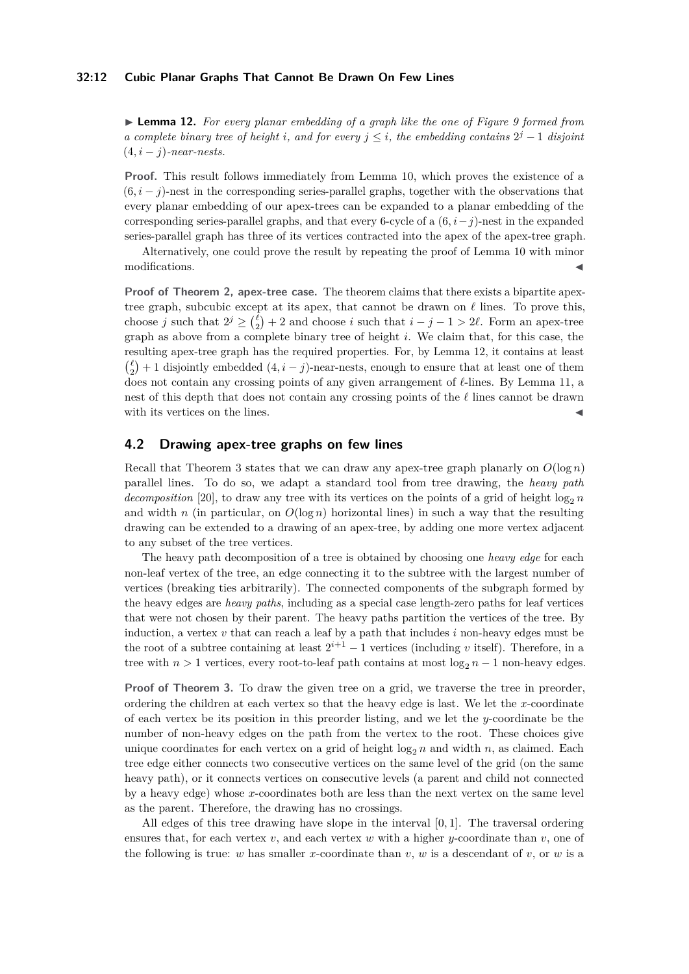#### **32:12 Cubic Planar Graphs That Cannot Be Drawn On Few Lines**

<span id="page-11-0"></span>I **Lemma 12.** *For every planar embedding of a graph like the one of [Figure 9](#page-10-0) formed from a complete binary tree of height i, and for every*  $j \leq i$ , the embedding contains  $2^{j} - 1$  disjoint  $(4, i - j)$ -near-nests.

**Proof.** This result follows immediately from [Lemma 10,](#page-9-1) which proves the existence of a  $(6, i - j)$ -nest in the corresponding series-parallel graphs, together with the observations that every planar embedding of our apex-trees can be expanded to a planar embedding of the corresponding series-parallel graphs, and that every 6-cycle of a  $(6, i-j)$ -nest in the expanded series-parallel graph has three of its vertices contracted into the apex of the apex-tree graph.

Alternatively, one could prove the result by repeating the proof of [Lemma 10](#page-9-1) with minor modifications.

**Proof of [Theorem 2,](#page-2-1) apex-tree case.** The theorem claims that there exists a bipartite apextree graph, subcubic except at its apex, that cannot be drawn on  $\ell$  lines. To prove this, choose *j* such that  $2^{j} \geq {l \choose 2} + 2$  and choose *i* such that  $i - j - 1 > 2l$ . Form an apex-tree graph as above from a complete binary tree of height *i*. We claim that, for this case, the resulting apex-tree graph has the required properties. For, by [Lemma 12,](#page-11-0) it contains at least  $\binom{\ell}{2}$  + 1 disjointly embedded  $(4, i - j)$ -near-nests, enough to ensure that at least one of them does not contain any crossing points of any given arrangement of  $\ell$ -lines. By [Lemma 11,](#page-10-1) a nest of this depth that does not contain any crossing points of the  $\ell$  lines cannot be drawn with its vertices on the lines.

#### **4.2 Drawing apex-tree graphs on few lines**

Recall that [Theorem 3](#page-3-1) states that we can draw any apex-tree graph planarly on  $O(\log n)$ parallel lines. To do so, we adapt a standard tool from tree drawing, the *heavy path decomposition* [\[20\]](#page-14-4), to draw any tree with its vertices on the points of a grid of height  $\log_2 n$ and width *n* (in particular, on  $O(\log n)$  horizontal lines) in such a way that the resulting drawing can be extended to a drawing of an apex-tree, by adding one more vertex adjacent to any subset of the tree vertices.

The heavy path decomposition of a tree is obtained by choosing one *heavy edge* for each non-leaf vertex of the tree, an edge connecting it to the subtree with the largest number of vertices (breaking ties arbitrarily). The connected components of the subgraph formed by the heavy edges are *heavy paths*, including as a special case length-zero paths for leaf vertices that were not chosen by their parent. The heavy paths partition the vertices of the tree. By induction, a vertex *v* that can reach a leaf by a path that includes *i* non-heavy edges must be the root of a subtree containing at least  $2^{i+1} - 1$  vertices (including *v* itself). Therefore, in a tree with  $n > 1$  vertices, every root-to-leaf path contains at most  $\log_2 n - 1$  non-heavy edges.

**Proof of [Theorem 3.](#page-3-1)** To draw the given tree on a grid, we traverse the tree in preorder, ordering the children at each vertex so that the heavy edge is last. We let the *x*-coordinate of each vertex be its position in this preorder listing, and we let the *y*-coordinate be the number of non-heavy edges on the path from the vertex to the root. These choices give unique coordinates for each vertex on a grid of height  $\log_2 n$  and width *n*, as claimed. Each tree edge either connects two consecutive vertices on the same level of the grid (on the same heavy path), or it connects vertices on consecutive levels (a parent and child not connected by a heavy edge) whose *x*-coordinates both are less than the next vertex on the same level as the parent. Therefore, the drawing has no crossings.

All edges of this tree drawing have slope in the interval [0*,* 1]. The traversal ordering ensures that, for each vertex  $v$ , and each vertex  $w$  with a higher  $y$ -coordinate than  $v$ , one of the following is true: *w* has smaller *x*-coordinate than *v*, *w* is a descendant of *v*, or *w* is a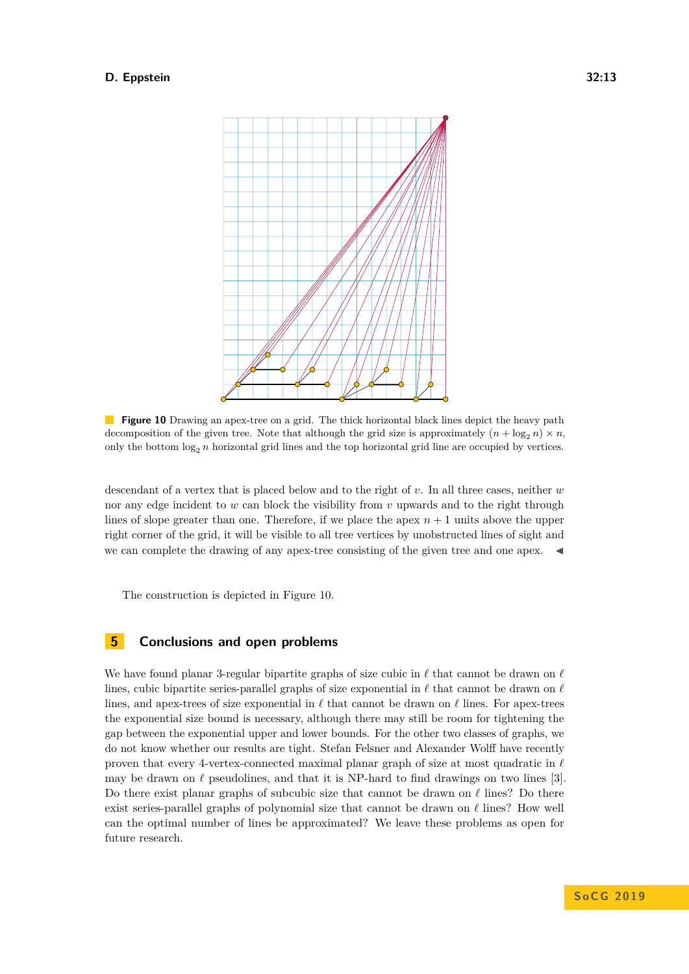## <span id="page-12-0"></span>**D. Eppstein 32:13**



**Figure 10** Drawing an apex-tree on a grid. The thick horizontal black lines depict the heavy path decomposition of the given tree. Note that although the grid size is approximately  $(n + \log_2 n) \times n$ , only the bottom  $log_2 n$  horizontal grid lines and the top horizontal grid line are occupied by vertices.

descendant of a vertex that is placed below and to the right of *v*. In all three cases, neither *w* nor any edge incident to *w* can block the visibility from *v* upwards and to the right through lines of slope greater than one. Therefore, if we place the apex  $n + 1$  units above the upper right corner of the grid, it will be visible to all tree vertices by unobstructed lines of sight and we can complete the drawing of any apex-tree consisting of the given tree and one apex.  $\blacktriangleleft$ 

The construction is depicted in [Figure 10.](#page-12-0)

# **5 Conclusions and open problems**

We have found planar 3-regular bipartite graphs of size cubic in  $\ell$  that cannot be drawn on  $\ell$ lines, cubic bipartite series-parallel graphs of size exponential in  $\ell$  that cannot be drawn on  $\ell$ lines, and apex-trees of size exponential in  $\ell$  that cannot be drawn on  $\ell$  lines. For apex-trees the exponential size bound is necessary, although there may still be room for tightening the gap between the exponential upper and lower bounds. For the other two classes of graphs, we do not know whether our results are tight. Stefan Felsner and Alexander Wolff have recently proven that every 4-vertex-connected maximal planar graph of size at most quadratic in  $\ell$ may be drawn on  $\ell$  pseudolines, and that it is NP-hard to find drawings on two lines [\[3\]](#page-13-15). Do there exist planar graphs of subcubic size that cannot be drawn on  $\ell$  lines? Do there exist series-parallel graphs of polynomial size that cannot be drawn on  $\ell$  lines? How well can the optimal number of lines be approximated? We leave these problems as open for future research.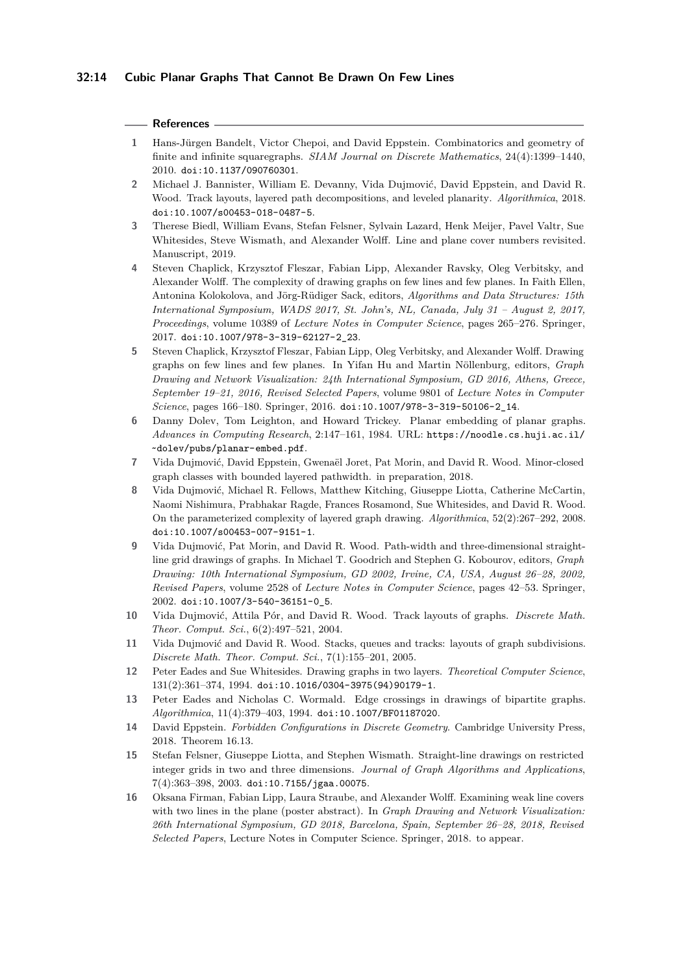#### **References**

- <span id="page-13-1"></span>**1** Hans-Jürgen Bandelt, Victor Chepoi, and David Eppstein. Combinatorics and geometry of finite and infinite squaregraphs. *SIAM Journal on Discrete Mathematics*, 24(4):1399–1440, 2010. [doi:10.1137/090760301](http://dx.doi.org/10.1137/090760301).
- <span id="page-13-2"></span>**2** Michael J. Bannister, William E. Devanny, Vida Dujmović, David Eppstein, and David R. Wood. Track layouts, layered path decompositions, and leveled planarity. *Algorithmica*, 2018. [doi:10.1007/s00453-018-0487-5](http://dx.doi.org/10.1007/s00453-018-0487-5).
- <span id="page-13-15"></span>**3** Therese Biedl, William Evans, Stefan Felsner, Sylvain Lazard, Henk Meijer, Pavel Valtr, Sue Whitesides, Steve Wismath, and Alexander Wolff. Line and plane cover numbers revisited. Manuscript, 2019.
- <span id="page-13-10"></span>**4** Steven Chaplick, Krzysztof Fleszar, Fabian Lipp, Alexander Ravsky, Oleg Verbitsky, and Alexander Wolff. The complexity of drawing graphs on few lines and few planes. In Faith Ellen, Antonina Kolokolova, and Jörg-Rüdiger Sack, editors, *Algorithms and Data Structures: 15th International Symposium, WADS 2017, St. John's, NL, Canada, July 31 – August 2, 2017, Proceedings*, volume 10389 of *Lecture Notes in Computer Science*, pages 265–276. Springer, 2017. [doi:10.1007/978-3-319-62127-2\\_23](http://dx.doi.org/10.1007/978-3-319-62127-2_23).
- <span id="page-13-11"></span>**5** Steven Chaplick, Krzysztof Fleszar, Fabian Lipp, Oleg Verbitsky, and Alexander Wolff. Drawing graphs on few lines and few planes. In Yifan Hu and Martin Nöllenburg, editors, *Graph Drawing and Network Visualization: 24th International Symposium, GD 2016, Athens, Greece, September 19–21, 2016, Revised Selected Papers*, volume 9801 of *Lecture Notes in Computer Science*, pages 166–180. Springer, 2016. [doi:10.1007/978-3-319-50106-2\\_14](http://dx.doi.org/10.1007/978-3-319-50106-2_14).
- <span id="page-13-14"></span>**6** Danny Dolev, Tom Leighton, and Howard Trickey. Planar embedding of planar graphs. *Advances in Computing Research*, 2:147–161, 1984. URL: [https://noodle.cs.huji.ac.il/](https://noodle.cs.huji.ac.il/~dolev/pubs/planar-embed.pdf) [~dolev/pubs/planar-embed.pdf](https://noodle.cs.huji.ac.il/~dolev/pubs/planar-embed.pdf).
- <span id="page-13-13"></span>**7** Vida Dujmović, David Eppstein, Gwenaël Joret, Pat Morin, and David R. Wood. Minor-closed graph classes with bounded layered pathwidth. in preparation, 2018.
- <span id="page-13-4"></span>**8** Vida Dujmović, Michael R. Fellows, Matthew Kitching, Giuseppe Liotta, Catherine McCartin, Naomi Nishimura, Prabhakar Ragde, Frances Rosamond, Sue Whitesides, and David R. Wood. On the parameterized complexity of layered graph drawing. *Algorithmica*, 52(2):267–292, 2008. [doi:10.1007/s00453-007-9151-1](http://dx.doi.org/10.1007/s00453-007-9151-1).
- <span id="page-13-9"></span>**9** Vida Dujmović, Pat Morin, and David R. Wood. Path-width and three-dimensional straightline grid drawings of graphs. In Michael T. Goodrich and Stephen G. Kobourov, editors, *Graph Drawing: 10th International Symposium, GD 2002, Irvine, CA, USA, August 26–28, 2002, Revised Papers*, volume 2528 of *Lecture Notes in Computer Science*, pages 42–53. Springer, 2002. [doi:10.1007/3-540-36151-0\\_5](http://dx.doi.org/10.1007/3-540-36151-0_5).
- <span id="page-13-7"></span>**10** Vida Dujmović, Attila Pór, and David R. Wood. Track layouts of graphs. *Discrete Math. Theor. Comput. Sci.*, 6(2):497–521, 2004.
- <span id="page-13-8"></span>**11** Vida Dujmović and David R. Wood. Stacks, queues and tracks: layouts of graph subdivisions. *Discrete Math. Theor. Comput. Sci.*, 7(1):155–201, 2005.
- <span id="page-13-5"></span>**12** Peter Eades and Sue Whitesides. Drawing graphs in two layers. *Theoretical Computer Science*, 131(2):361–374, 1994. [doi:10.1016/0304-3975\(94\)90179-1](http://dx.doi.org/10.1016/0304-3975(94)90179-1).
- <span id="page-13-6"></span>**13** Peter Eades and Nicholas C. Wormald. Edge crossings in drawings of bipartite graphs. *Algorithmica*, 11(4):379–403, 1994. [doi:10.1007/BF01187020](http://dx.doi.org/10.1007/BF01187020).
- <span id="page-13-12"></span>**14** David Eppstein. *Forbidden Configurations in Discrete Geometry*. Cambridge University Press, 2018. Theorem 16.13.
- <span id="page-13-3"></span>**15** Stefan Felsner, Giuseppe Liotta, and Stephen Wismath. Straight-line drawings on restricted integer grids in two and three dimensions. *Journal of Graph Algorithms and Applications*, 7(4):363–398, 2003. [doi:10.7155/jgaa.00075](http://dx.doi.org/10.7155/jgaa.00075).
- <span id="page-13-0"></span>**16** Oksana Firman, Fabian Lipp, Laura Straube, and Alexander Wolff. Examining weak line covers with two lines in the plane (poster abstract). In *Graph Drawing and Network Visualization: 26th International Symposium, GD 2018, Barcelona, Spain, September 26–28, 2018, Revised Selected Papers*, Lecture Notes in Computer Science. Springer, 2018. to appear.